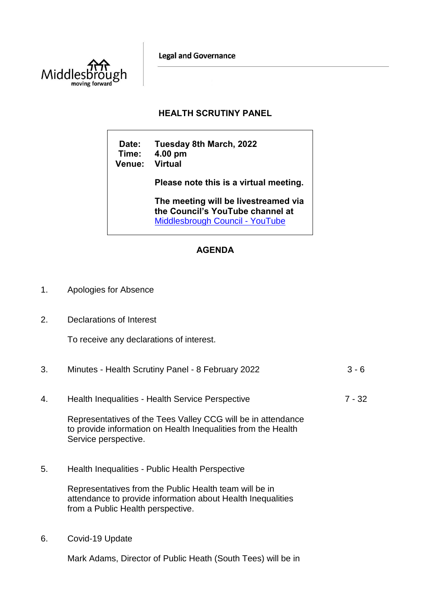**Legal and Governance** 



## **HEALTH SCRUTINY PANEL**

**Date: Tuesday 8th March, 2022 Time: 4.00 pm Venue: Virtual Please note this is a virtual meeting. The meeting will be livestreamed via** 

**the Council's YouTube channel at**  [Middlesbrough Council -](https://www.youtube.com/user/middlesbroughcouncil) YouTube

## **AGENDA**

- 1. Apologies for Absence
- 2. Declarations of Interest

To receive any declarations of interest.

|    | Minutes - Health Scrutiny Panel - 8 February 2022 | $3 - 6$ |
|----|---------------------------------------------------|---------|
| 4. | Health Inequalities - Health Service Perspective  | 7 - 32  |

Representatives of the Tees Valley CCG will be in attendance to provide information on Health Inequalities from the Health Service perspective.

5. Health Inequalities - Public Health Perspective

Representatives from the Public Health team will be in attendance to provide information about Health Inequalities from a Public Health perspective.

6. Covid-19 Update

Mark Adams, Director of Public Heath (South Tees) will be in